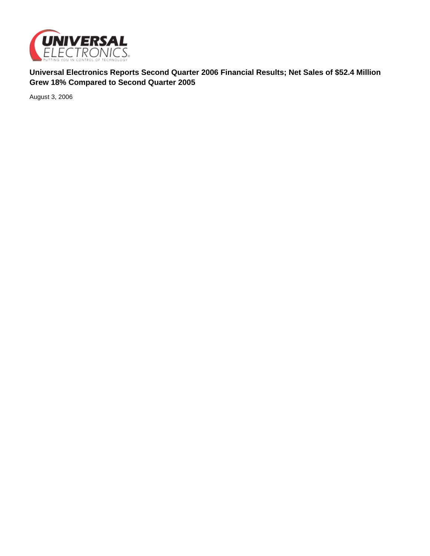

**Universal Electronics Reports Second Quarter 2006 Financial Results; Net Sales of \$52.4 Million Grew 18% Compared to Second Quarter 2005**

August 3, 2006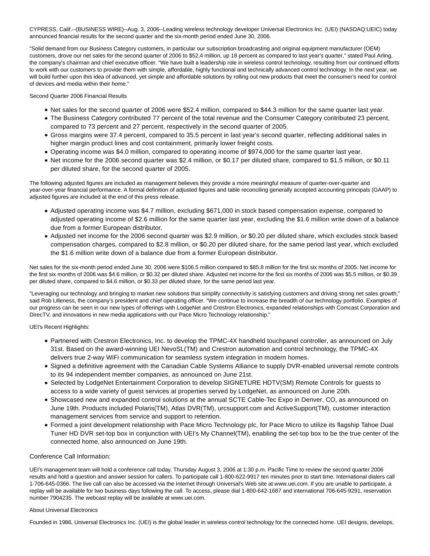CYPRESS, Calif.--(BUSINESS WIRE)--Aug. 3, 2006--Leading wireless technology developer Universal Electronics Inc. (UEI) (NASDAQ:UEIC) today announced financial results for the second quarter and the six-month period ended June 30, 2006.

"Solid demand from our Business Category customers, in particular our subscription broadcasting and original equipment manufacturer (OEM) customers, drove our net sales for the second quarter of 2006 to \$52.4 million, up 18 percent as compared to last year's quarter," stated Paul Arling, the company's chairman and chief executive officer. "We have built a leadership role in wireless control technology, resulting from our continued efforts to work with our customers to provide them with simple, affordable, highly functional and technically advanced control technology. In the next year, we will build further upon this idea of advanced, yet simple and affordable solutions by rolling out new products that meet the consumer's need for control of devices and media within their home."

Second Quarter 2006 Financial Results

- Net sales for the second quarter of 2006 were \$52.4 million, compared to \$44.3 million for the same quarter last year.
- The Business Category contributed 77 percent of the total revenue and the Consumer Category contributed 23 percent, compared to 73 percent and 27 percent, respectively in the second quarter of 2005.
- Gross margins were 37.4 percent, compared to 35.5 percent in last year's second quarter, reflecting additional sales in higher margin product lines and cost containment, primarily lower freight costs.
- Operating income was \$4.0 million, compared to operating income of \$974,000 for the same quarter last year.
- Net income for the 2006 second quarter was \$2.4 million, or \$0.17 per diluted share, compared to \$1.5 million, or \$0.11 per diluted share, for the second quarter of 2005.

The following adjusted figures are included as management believes they provide a more meaningful measure of quarter-over-quarter and year-over-year financial performance. A formal definition of adjusted figures and table reconciling generally accepted accounting principals (GAAP) to adjusted figures are included at the end of this press release.

- Adjusted operating income was \$4.7 million, excluding \$671,000 in stock based compensation expense, compared to adjusted operating income of \$2.6 million for the same quarter last year, excluding the \$1.6 million write down of a balance due from a former European distributor.
- Adjusted net income for the 2006 second quarter was \$2.9 million, or \$0.20 per diluted share, which excludes stock based compensation charges, compared to \$2.8 million, or \$0.20 per diluted share, for the same period last year, which excluded the \$1.6 million write down of a balance due from a former European distributor.

Net sales for the six-month period ended June 30, 2006 were \$106.5 million compared to \$85.8 million for the first six months of 2005. Net income for the first six months of 2006 was \$4.6 million, or \$0.32 per diluted share. Adjusted net income for the first six months of 2006 was \$5.5 million, or \$0.39 per diluted share, compared to \$4.6 million, or \$0.33 per diluted share, for the same period last year.

"Leveraging our technology and bringing to market new solutions that simplify connectivity is satisfying customers and driving strong net sales growth," said Rob Lilleness, the company's president and chief operating officer. "We continue to increase the breadth of our technology portfolio. Examples of our progress can be seen in our new types of offerings with LodgeNet and Crestron Electronics, expanded relationships with Comcast Corporation and DirecTV, and innovations in new media applications with our Pace Micro Technology relationship."

UEI's Recent Highlights:

- Partnered with Crestron Electronics, Inc. to develop the TPMC-4X handheld touchpanel controller, as announced on July 31st. Based on the award-winning UEI NevoSL(TM) and Crestron automation and control technology, the TPMC-4X delivers true 2-way WiFi communication for seamless system integration in modern homes.
- Signed a definitive agreement with the Canadian Cable Systems Alliance to supply DVR-enabled universal remote controls to its 94 independent member companies, as announced on June 21st.
- Selected by LodgeNet Entertainment Corporation to develop SIGNETURE HDTV(SM) Remote Controls for guests to access to a wide variety of guest services at properties served by LodgeNet, as announced on June 20th.
- Showcased new and expanded control solutions at the annual SCTE Cable-Tec Expo in Denver, CO, as announced on June 19th. Products included Polaris(TM), Atlas DVR(TM), urcsupport.com and ActiveSupport(TM), customer interaction management services from service and support to retention.
- Formed a joint development relationship with Pace Micro Technology plc, for Pace Micro to utilize its flagship Tahoe Dual Tuner HD DVR set-top box in conjunction with UEI's My Channel(TM), enabling the set-top box to be the true center of the connected home, also announced on June 19th.

# Conference Call Information:

UEI's management team will hold a conference call today, Thursday August 3, 2006 at 1:30 p.m. Pacific Time to review the second quarter 2006 results and hold a question and answer session for callers. To participate call 1-800-622-9917 ten minutes prior to start time. International dialers call 1-706-645-0366. The live call can also be accessed via the Internet through Universal's Web site at www.uei.com. If you are unable to participate, a replay will be available for two business days following the call. To access, please dial 1-800-642-1687 and international 706-645-9291, reservation number 7904235. The webcast replay will be available at www.uei.com.

#### About Universal Electronics

Founded in 1986, Universal Electronics Inc. (UEI) is the global leader in wireless control technology for the connected home. UEI designs, develops,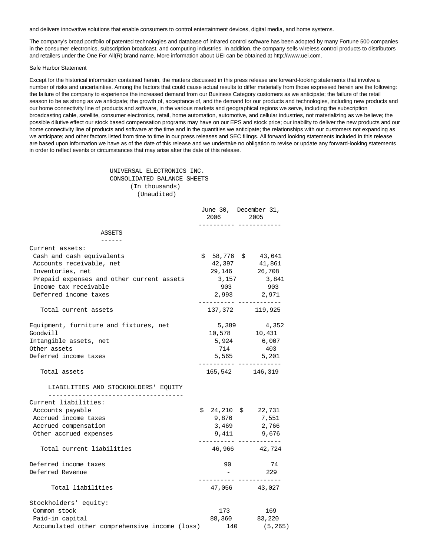and delivers innovative solutions that enable consumers to control entertainment devices, digital media, and home systems.

The company's broad portfolio of patented technologies and database of infrared control software has been adopted by many Fortune 500 companies in the consumer electronics, subscription broadcast, and computing industries. In addition, the company sells wireless control products to distributors and retailers under the One For All(R) brand name. More information about UEI can be obtained at http://www.uei.com.

#### Safe Harbor Statement

Except for the historical information contained herein, the matters discussed in this press release are forward-looking statements that involve a number of risks and uncertainties. Among the factors that could cause actual results to differ materially from those expressed herein are the following: the failure of the company to experience the increased demand from our Business Category customers as we anticipate; the failure of the retail season to be as strong as we anticipate; the growth of, acceptance of, and the demand for our products and technologies, including new products and our home connectivity line of products and software, in the various markets and geographical regions we serve, including the subscription broadcasting cable, satellite, consumer electronics, retail, home automation, automotive, and cellular industries, not materializing as we believe; the possible dilutive effect our stock based compensation programs may have on our EPS and stock price; our inability to deliver the new products and our home connectivity line of products and software at the time and in the quantities we anticipate; the relationships with our customers not expanding as we anticipate; and other factors listed from time to time in our press releases and SEC filings. All forward looking statements included in this release are based upon information we have as of the date of this release and we undertake no obligation to revise or update any forward-looking statements in order to reflect events or circumstances that may arise after the date of this release.

> UNIVERSAL ELECTRONICS INC. CONSOLIDATED BALANCE SHEETS (In thousands) (Unaudited)

|                                               | 2006 2005 | June 30, December 31,                         |  |
|-----------------------------------------------|-----------|-----------------------------------------------|--|
| ASSETS                                        |           |                                               |  |
| Current assets:                               |           |                                               |  |
| Cash and cash equivalents                     |           | $$58,776$ \$43,641                            |  |
| Accounts receivable, net                      |           | 42,397 41,861                                 |  |
| Inventories, net                              |           | 29,146 26,708                                 |  |
| Prepaid expenses and other current assets     |           | 3, 157 3, 841                                 |  |
| Income tax receivable                         | 903       | 903                                           |  |
| Deferred income taxes                         |           | 2,993 2,971                                   |  |
| Total current assets                          |           | ________________________<br>137, 372 119, 925 |  |
| Equipment, furniture and fixtures, net        | 5,389     | 4,352                                         |  |
| Goodwill                                      |           | 10,578 10,431                                 |  |
| Intangible assets, net                        |           | 5,924 6,007                                   |  |
| Other assets                                  | 714       | 403                                           |  |
| Deferred income taxes                         |           | 5,565 5,201<br>________________________       |  |
| Total assets                                  |           | 165,542 146,319                               |  |
| LIABILITIES AND STOCKHOLDERS' EQUITY          |           |                                               |  |
| Current liabilities:                          |           |                                               |  |
| Accounts payable                              |           | $$24,210$ \$ 22,731                           |  |
| Accrued income taxes                          | 9,876     | 7,551                                         |  |
| Accrued compensation                          | 3,469     | 2,766                                         |  |
| Other accrued expenses                        | 9,411     | 9,676<br>.________________________            |  |
| Total current liabilities                     |           | 46,966 42,724                                 |  |
| Deferred income taxes                         | 90        | 74                                            |  |
| Deferred Revenue                              |           | 229                                           |  |
| Total liabilities                             |           | 47,056 43,027                                 |  |
| Stockholders' equity:                         |           |                                               |  |
| Common stock                                  | 173       | 169                                           |  |
| Paid-in capital                               |           | 88,360 83,220                                 |  |
| Accumulated other comprehensive income (loss) | 140       | (5, 265)                                      |  |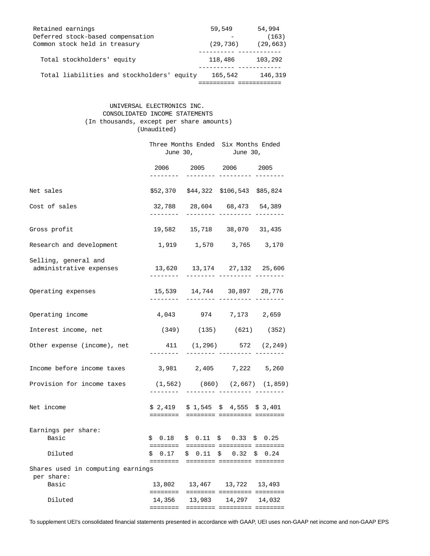| Retained earnings                          | 59,549    | 54,994    |
|--------------------------------------------|-----------|-----------|
| Deferred stock-based compensation          |           | (163)     |
| Common stock held in treasury              | (29, 736) | (29, 663) |
|                                            |           |           |
| Total stockholders' equity                 | 118,486   | 103,292   |
|                                            |           |           |
| Total liabilities and stockholders' equity | 165,542   | 146,319   |
|                                            |           |           |

## UNIVERSAL ELECTRONICS INC. CONSOLIDATED INCOME STATEMENTS (In thousands, except per share amounts) (Unaudited)

|                                                          | Three Months Ended Six Months Ended<br>June 30, June 30, |        |                                                                       |        |
|----------------------------------------------------------|----------------------------------------------------------|--------|-----------------------------------------------------------------------|--------|
|                                                          | --------                                                 |        | 2006 2005 2006 2005<br>-------- --------- -------                     |        |
| Net sales                                                |                                                          |        | \$52,370 \$44,322 \$106,543 \$85,824                                  |        |
| Cost of sales                                            |                                                          |        | 32,788 28,604 68,473 54,389<br>-------- --------- ----                |        |
| Gross profit                                             |                                                          |        | 19,582  15,718  38,070  31,435                                        |        |
| Research and development                                 |                                                          |        | 1,919 1,570 3,765 3,170                                               |        |
| Selling, general and<br>administrative expenses          |                                                          |        | 13,620  13,174  27,132  25,606                                        |        |
| Operating expenses                                       |                                                          |        | 15,539  14,744  30,897  28,776<br>-------- --------- ------           |        |
| Operating income                                         |                                                          |        | 4,043 974 7,173 2,659                                                 |        |
| Interest income, net                                     |                                                          |        | $(349)$ $(135)$ $(621)$ $(352)$                                       |        |
| Other expense (income), net                              |                                                          |        | 411 (1,296) 572 (2,249)                                               |        |
| Income before income taxes                               |                                                          |        | 3,981 2,405 7,222 5,260                                               |        |
| Provision for income taxes                               |                                                          |        | $(1, 562)$ $(860)$ $(2, 667)$ $(1, 859)$<br>--------- --------- ----- |        |
| Net income                                               |                                                          |        | $$2,419$ $$1,545$ $$4,555$ $$3,401$                                   |        |
| Earnings per share:<br>Basic                             |                                                          |        | $$0.18$ $$0.11$ $$0.33$ $$0.25$                                       |        |
| Diluted                                                  |                                                          |        | $$0.17$ $$0.11$ $$0.32$ $$0.24$                                       |        |
| Shares used in computing earnings<br>per share:<br>Basic | 13,802<br>========                                       | 13,467 | 13,722 13,493<br>======== ========= ========                          |        |
| Diluted                                                  | 14,356<br><b>EEEEEEEE</b>                                | 13,983 | 14,297<br>======== ========= ========                                 | 14,032 |

To supplement UEI's consolidated financial statements presented in accordance with GAAP, UEI uses non-GAAP net income and non-GAAP EPS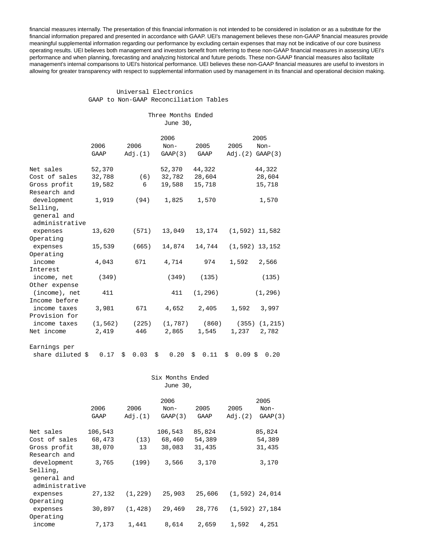financial measures internally. The presentation of this financial information is not intended to be considered in isolation or as a substitute for the financial information prepared and presented in accordance with GAAP. UEI's management believes these non-GAAP financial measures provide meaningful supplemental information regarding our performance by excluding certain expenses that may not be indicative of our core business operating results. UEI believes both management and investors benefit from referring to these non-GAAP financial measures in assessing UEI's performance and when planning, forecasting and analyzing historical and future periods. These non-GAAP financial measures also facilitate management's internal comparisons to UEI's historical performance. UEI believes these non-GAAP financial measures are useful to investors in allowing for greater transparency with respect to supplemental information used by management in its financial and operational decision making.

### Universal Electronics GAAP to Non-GAAP Reconciliation Tables

|  | Three Months Ended |  |
|--|--------------------|--|
|  | June 30,           |  |

|                              |          |            | 2006       |            |                    | 2005     |
|------------------------------|----------|------------|------------|------------|--------------------|----------|
|                              | 2006     | 2006       | $Non-$     | 2005       | 2005               | Non-     |
|                              | GAAP     | Adj.(1)    | GAMP(3)    | GAAP       | Adj.(2) GAMP(3)    |          |
|                              |          |            |            |            |                    |          |
| Net sales                    | 52,370   |            | 52,370     | 44,322     |                    | 44,322   |
| Cost of sales                | 32,788   | (6)        | 32,782     | 28,604     |                    | 28,604   |
| Gross profit<br>Research and | 19,582   | 6          | 19,588     | 15,718     |                    | 15,718   |
| development                  | 1,919    | (94)       | 1,825      | 1,570      |                    | 1,570    |
| Selling,                     |          |            |            |            |                    |          |
| general and                  |          |            |            |            |                    |          |
| administrative               |          |            |            |            |                    |          |
| expenses                     | 13,620   | (571)      | 13,049     | 13,174     | $(1, 592)$ 11,582  |          |
| Operating                    |          |            |            |            |                    |          |
| expenses                     | 15,539   | (665)      | 14,874     | 14,744     | $(1, 592)$ 13, 152 |          |
| Operating                    |          |            |            |            |                    |          |
| income                       | 4,043    | 671        | 4,714      | 974        | 1,592              | 2,566    |
| Interest                     |          |            |            |            |                    |          |
| income, net                  | (349)    |            | (349)      | (135)      |                    | (135)    |
| Other expense                |          |            |            |            |                    |          |
| (income), net                | 411      |            | 411        | (1, 296)   |                    | (1, 296) |
| Income before                |          |            |            |            |                    |          |
| income taxes                 | 3,981    | 671        | 4,652      | 2,405      | 1,592              | 3,997    |
| Provision for                |          |            |            |            |                    |          |
| income taxes                 | (1, 562) | (225)      | (1, 787)   | (860)      | (355)              | (1, 215) |
| Net income                   | 2,419    | 446        | 2,865      | 1,545      | 1,237              | 2,782    |
| Earnings per                 |          |            |            |            |                    |          |
| share diluted \$             | 0.17     | 0.03<br>\$ | 0.20<br>\$ | 0.11<br>\$ | $0.09$ \$<br>\$    | 0.20     |
|                              |          |            |            |            |                    |          |
|                              |          |            |            |            |                    |          |

|                |          |          | Six Months Ended |        |         |                   |
|----------------|----------|----------|------------------|--------|---------|-------------------|
|                | June 30, |          |                  |        |         |                   |
|                |          |          | 2006             |        |         | 2005              |
|                | 2006     | 2006     | Non-             | 2005   | 2005    | Non-              |
|                | GAAP     | Adj.(1)  | GAAP(3)          | GAAP   | Adj.(2) | GAMP(3)           |
| Net sales      | 106,543  |          | 106,543          | 85,824 |         | 85,824            |
| Cost of sales  | 68,473   |          | $(13)$ 68,460    | 54,389 |         | 54,389            |
| Gross profit   | 38,070   | 13       | 38,083           | 31,435 |         | 31,435            |
| Research and   |          |          |                  |        |         |                   |
| development    | 3,765    | (199)    | 3,566            | 3,170  |         | 3,170             |
| Selling,       |          |          |                  |        |         |                   |
| general and    |          |          |                  |        |         |                   |
| administrative |          |          |                  |        |         |                   |
| expenses       | 27,132   | (1, 229) | 25,903           | 25,606 |         | $(1, 592)$ 24,014 |
| Operating      |          |          |                  |        |         |                   |
| expenses       | 30,897   | (1, 428) | 29,469           | 28,776 |         | $(1, 592)$ 27,184 |
| Operating      |          |          |                  |        |         |                   |
| income         | 7,173    | 1,441    | 8,614            | 2,659  | 1,592   | 4,251             |